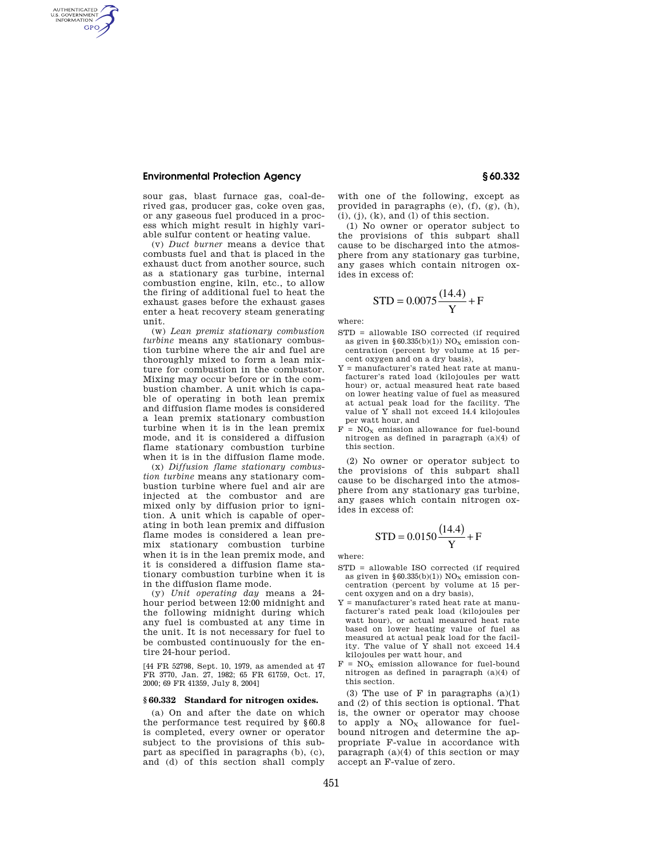# **Environmental Protection Agency § 60.332**

AUTHENTICATED<br>U.S. GOVERNMENT<br>INFORMATION **GPO** 

> sour gas, blast furnace gas, coal-derived gas, producer gas, coke oven gas, or any gaseous fuel produced in a process which might result in highly variable sulfur content or heating value.

(v) *Duct burner* means a device that combusts fuel and that is placed in the exhaust duct from another source, such as a stationary gas turbine, internal combustion engine, kiln, etc., to allow the firing of additional fuel to heat the exhaust gases before the exhaust gases enter a heat recovery steam generating unit.

(w) *Lean premix stationary combustion turbine* means any stationary combustion turbine where the air and fuel are thoroughly mixed to form a lean mixture for combustion in the combustor. Mixing may occur before or in the combustion chamber. A unit which is capable of operating in both lean premix and diffusion flame modes is considered a lean premix stationary combustion turbine when it is in the lean premix mode, and it is considered a diffusion flame stationary combustion turbine when it is in the diffusion flame mode.

(x) *Diffusion flame stationary combustion turbine* means any stationary combustion turbine where fuel and air are injected at the combustor and are mixed only by diffusion prior to ignition. A unit which is capable of operating in both lean premix and diffusion flame modes is considered a lean premix stationary combustion turbine when it is in the lean premix mode, and it is considered a diffusion flame stationary combustion turbine when it is in the diffusion flame mode.

(y) *Unit operating day* means a 24 hour period between 12:00 midnight and the following midnight during which any fuel is combusted at any time in the unit. It is not necessary for fuel to be combusted continuously for the entire 24-hour period.

[44 FR 52798, Sept. 10, 1979, as amended at 47 FR 3770, Jan. 27, 1982; 65 FR 61759, Oct. 17, 2000; 69 FR 41359, July 8, 2004]

## **§ 60.332 Standard for nitrogen oxides.**

(a) On and after the date on which the performance test required by §60.8 is completed, every owner or operator subject to the provisions of this subpart as specified in paragraphs (b), (c), and (d) of this section shall comply

with one of the following, except as provided in paragraphs (e), (f), (g), (h),  $(i), (j), (k),$  and  $(l)$  of this section.

(1) No owner or operator subject to the provisions of this subpart shall cause to be discharged into the atmosphere from any stationary gas turbine, any gases which contain nitrogen oxides in excess of:

$$
STD = 0.0075 \frac{(14.4)}{Y} + F
$$

where:

- STD = allowable ISO corrected (if required as given in  $\S 60.335(b)(1))$   $\rm NO_{X}$  emission concentration (percent by volume at 15 percent oxygen and on a dry basis),
- Y = manufacturer's rated heat rate at manufacturer's rated load (kilojoules per watt hour) or, actual measured heat rate based on lower heating value of fuel as measured at actual peak load for the facility. The value of Y shall not exceed 14.4 kilojoules per watt hour, and
- $F = NO<sub>x</sub>$  emission allowance for fuel-bound nitrogen as defined in paragraph (a)(4) of this section.

(2) No owner or operator subject to the provisions of this subpart shall cause to be discharged into the atmosphere from any stationary gas turbine, any gases which contain nitrogen oxides in excess of:

$$
STD = 0.0150 \frac{(14.4)}{Y} + F
$$

where:

- STD = allowable ISO corrected (if required as given in  $§60.335(b)(1))$  NO<sub>x</sub> emission concentration (percent by volume at 15 percent oxygen and on a dry basis),
- Y = manufacturer's rated heat rate at manufacturer's rated peak load (kilojoules per watt hour), or actual measured heat rate based on lower heating value of fuel as measured at actual peak load for the facility. The value of Y shall not exceed 14.4 kilojoules per watt hour, and
- $F = NO<sub>x</sub>$  emission allowance for fuel-bound nitrogen as defined in paragraph (a)(4) of this section.

(3) The use of  $F$  in paragraphs  $(a)(1)$ and (2) of this section is optional. That is, the owner or operator may choose to apply a  $NO<sub>x</sub>$  allowance for fuelbound nitrogen and determine the appropriate F-value in accordance with paragraph (a)(4) of this section or may accept an F-value of zero.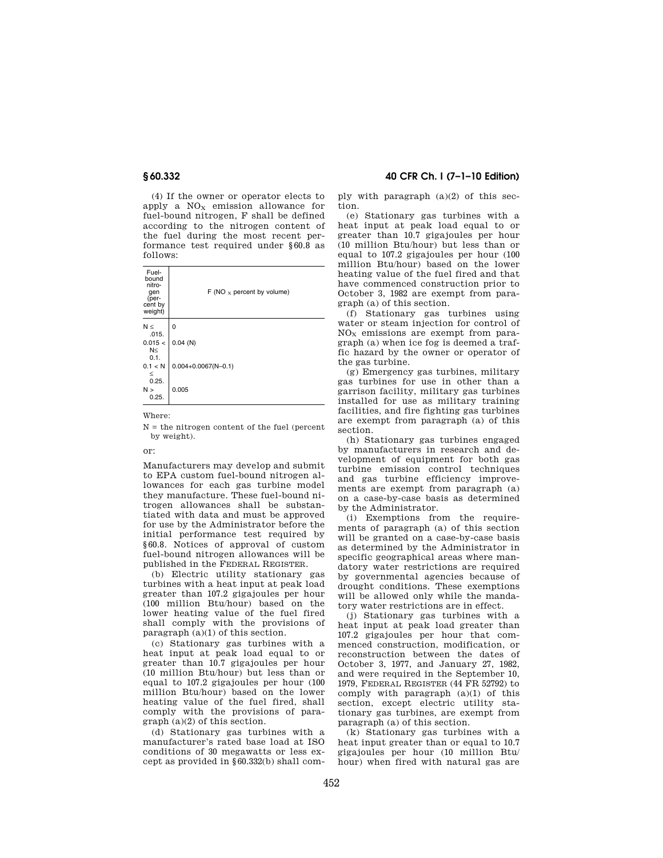(4) If the owner or operator elects to apply a  $NO<sub>x</sub>$  emission allowance for fuel-bound nitrogen, F shall be defined according to the nitrogen content of the fuel during the most recent performance test required under §60.8 as follows:

| Fuel-<br>bound<br>nitro-<br>qen<br>(per-<br>cent by<br>weight) | F (NO $x$ percent by volume) |
|----------------------------------------------------------------|------------------------------|
| $N \leq$<br>.015.                                              | 0                            |
| 0.015 <<br>N<<br>0.1.                                          | $0.04$ (N)                   |
| 0.1 < N<br>≤<br>0.25.                                          | $0.004 + 0.0067(N - 0.1)$    |
| N ><br>0.25.                                                   | 0.005                        |

Where:

 $N =$  the nitrogen content of the fuel (percent by weight).

or:

Manufacturers may develop and submit to EPA custom fuel-bound nitrogen allowances for each gas turbine model they manufacture. These fuel-bound nitrogen allowances shall be substantiated with data and must be approved for use by the Administrator before the initial performance test required by §60.8. Notices of approval of custom fuel-bound nitrogen allowances will be published in the FEDERAL REGISTER.

(b) Electric utility stationary gas turbines with a heat input at peak load greater than 107.2 gigajoules per hour (100 million Btu/hour) based on the lower heating value of the fuel fired shall comply with the provisions of paragraph (a)(1) of this section.

(c) Stationary gas turbines with a heat input at peak load equal to or greater than 10.7 gigajoules per hour (10 million Btu/hour) but less than or equal to 107.2 gigajoules per hour (100 million Btu/hour) based on the lower heating value of the fuel fired, shall comply with the provisions of paragraph (a)(2) of this section.

(d) Stationary gas turbines with a manufacturer's rated base load at ISO conditions of 30 megawatts or less except as provided in §60.332(b) shall com-

# **§ 60.332 40 CFR Ch. I (7–1–10 Edition)**

ply with paragraph (a)(2) of this section.

(e) Stationary gas turbines with a heat input at peak load equal to or greater than 10.7 gigajoules per hour (10 million Btu/hour) but less than or equal to 107.2 gigajoules per hour (100 million Btu/hour) based on the lower heating value of the fuel fired and that have commenced construction prior to October 3, 1982 are exempt from paragraph (a) of this section.

(f) Stationary gas turbines using water or steam injection for control of  $NO<sub>x</sub>$  emissions are exempt from paragraph (a) when ice fog is deemed a traffic hazard by the owner or operator of the gas turbine.

(g) Emergency gas turbines, military gas turbines for use in other than a garrison facility, military gas turbines installed for use as military training facilities, and fire fighting gas turbines are exempt from paragraph (a) of this section.

(h) Stationary gas turbines engaged by manufacturers in research and development of equipment for both gas turbine emission control techniques and gas turbine efficiency improvements are exempt from paragraph (a) on a case-by-case basis as determined by the Administrator.

(i) Exemptions from the requirements of paragraph (a) of this section will be granted on a case-by-case basis as determined by the Administrator in specific geographical areas where mandatory water restrictions are required by governmental agencies because of drought conditions. These exemptions will be allowed only while the mandatory water restrictions are in effect.

(j) Stationary gas turbines with a heat input at peak load greater than 107.2 gigajoules per hour that commenced construction, modification, or reconstruction between the dates of October 3, 1977, and January 27, 1982, and were required in the September 10, 1979, FEDERAL REGISTER (44 FR 52792) to comply with paragraph (a)(1) of this section, except electric utility stationary gas turbines, are exempt from paragraph (a) of this section.

(k) Stationary gas turbines with a heat input greater than or equal to 10.7 gigajoules per hour (10 million Btu/ hour) when fired with natural gas are